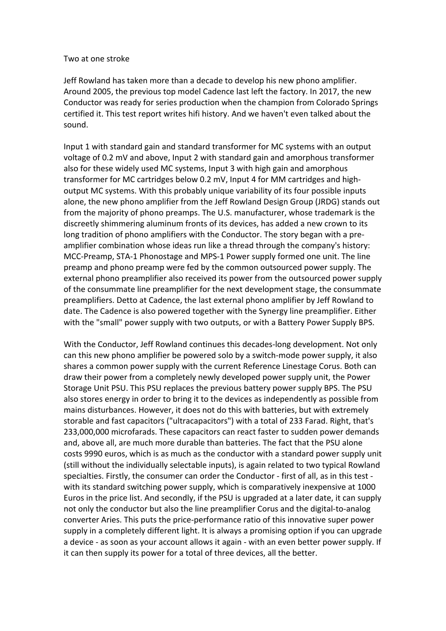#### Two at one stroke

Jeff Rowland has taken more than a decade to develop his new phono amplifier. Around 2005, the previous top model Cadence last left the factory. In 2017, the new Conductor was ready for series production when the champion from Colorado Springs certified it. This test report writes hifi history. And we haven't even talked about the sound.

Input 1 with standard gain and standard transformer for MC systems with an output voltage of 0.2 mV and above, Input 2 with standard gain and amorphous transformer also for these widely used MC systems, Input 3 with high gain and amorphous transformer for MC cartridges below  $0.2$  mV, Input 4 for MM cartridges and highoutput MC systems. With this probably unique variability of its four possible inputs alone, the new phono amplifier from the Jeff Rowland Design Group (JRDG) stands out from the majority of phono preamps. The U.S. manufacturer, whose trademark is the discreetly shimmering aluminum fronts of its devices, has added a new crown to its long tradition of phono amplifiers with the Conductor. The story began with a preamplifier combination whose ideas run like a thread through the company's history: MCC-Preamp, STA-1 Phonostage and MPS-1 Power supply formed one unit. The line preamp and phono preamp were fed by the common outsourced power supply. The external phono preamplifier also received its power from the outsourced power supply of the consummate line preamplifier for the next development stage, the consummate preamplifiers. Detto at Cadence, the last external phono amplifier by Jeff Rowland to date. The Cadence is also powered together with the Synergy line preamplifier. Either with the "small" power supply with two outputs, or with a Battery Power Supply BPS.

With the Conductor, Jeff Rowland continues this decades-long development. Not only can this new phono amplifier be powered solo by a switch-mode power supply, it also shares a common power supply with the current Reference Linestage Corus. Both can draw their power from a completely newly developed power supply unit, the Power Storage Unit PSU. This PSU replaces the previous battery power supply BPS. The PSU also stores energy in order to bring it to the devices as independently as possible from mains disturbances. However, it does not do this with batteries, but with extremely storable and fast capacitors ("ultracapacitors") with a total of 233 Farad. Right, that's 233,000,000 microfarads. These capacitors can react faster to sudden power demands and, above all, are much more durable than batteries. The fact that the PSU alone costs 9990 euros, which is as much as the conductor with a standard power supply unit (still without the individually selectable inputs), is again related to two typical Rowland specialties. Firstly, the consumer can order the Conductor - first of all, as in this test with its standard switching power supply, which is comparatively inexpensive at 1000 Euros in the price list. And secondly, if the PSU is upgraded at a later date, it can supply not only the conductor but also the line preamplifier Corus and the digital-to-analog converter Aries. This puts the price-performance ratio of this innovative super power supply in a completely different light. It is always a promising option if you can upgrade a device - as soon as your account allows it again - with an even better power supply. If it can then supply its power for a total of three devices, all the better.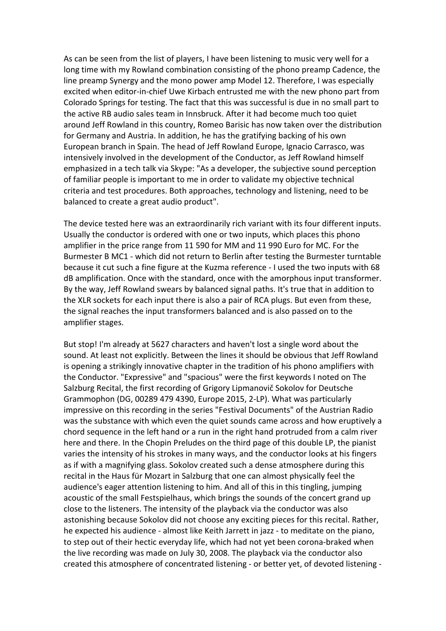As can be seen from the list of players, I have been listening to music very well for a long time with my Rowland combination consisting of the phono preamp Cadence, the line preamp Synergy and the mono power amp Model 12. Therefore, I was especially excited when editor-in-chief Uwe Kirbach entrusted me with the new phono part from Colorado Springs for testing. The fact that this was successful is due in no small part to the active RB audio sales team in Innsbruck. After it had become much too quiet around Jeff Rowland in this country, Romeo Barisic has now taken over the distribution for Germany and Austria. In addition, he has the gratifying backing of his own European branch in Spain. The head of Jeff Rowland Europe, Ignacio Carrasco, was intensively involved in the development of the Conductor, as Jeff Rowland himself emphasized in a tech talk via Skype: "As a developer, the subjective sound perception of familiar people is important to me in order to validate my objective technical criteria and test procedures. Both approaches, technology and listening, need to be balanced to create a great audio product".

The device tested here was an extraordinarily rich variant with its four different inputs. Usually the conductor is ordered with one or two inputs, which places this phono amplifier in the price range from 11 590 for MM and 11 990 Euro for MC. For the Burmester B MC1 - which did not return to Berlin after testing the Burmester turntable because it cut such a fine figure at the Kuzma reference - I used the two inputs with 68 dB amplification. Once with the standard, once with the amorphous input transformer. By the way, Jeff Rowland swears by balanced signal paths. It's true that in addition to the XLR sockets for each input there is also a pair of RCA plugs. But even from these, the signal reaches the input transformers balanced and is also passed on to the amplifier stages.

But stop! I'm already at 5627 characters and haven't lost a single word about the sound. At least not explicitly. Between the lines it should be obvious that Jeff Rowland is opening a strikingly innovative chapter in the tradition of his phono amplifiers with the Conductor. "Expressive" and "spacious" were the first keywords I noted on The Salzburg Recital, the first recording of Grigory Lipmanovič Sokolov for Deutsche Grammophon (DG, 00289 479 4390, Europe 2015, 2-LP). What was particularly impressive on this recording in the series "Festival Documents" of the Austrian Radio was the substance with which even the quiet sounds came across and how eruptively a chord sequence in the left hand or a run in the right hand protruded from a calm river here and there. In the Chopin Preludes on the third page of this double LP, the pianist varies the intensity of his strokes in many ways, and the conductor looks at his fingers as if with a magnifying glass. Sokolov created such a dense atmosphere during this recital in the Haus für Mozart in Salzburg that one can almost physically feel the audience's eager attention listening to him. And all of this in this tingling, jumping acoustic of the small Festspielhaus, which brings the sounds of the concert grand up close to the listeners. The intensity of the playback via the conductor was also astonishing because Sokolov did not choose any exciting pieces for this recital. Rather, he expected his audience - almost like Keith Jarrett in jazz - to meditate on the piano, to step out of their hectic everyday life, which had not yet been corona-braked when the live recording was made on July 30, 2008. The playback via the conductor also created this atmosphere of concentrated listening - or better yet, of devoted listening -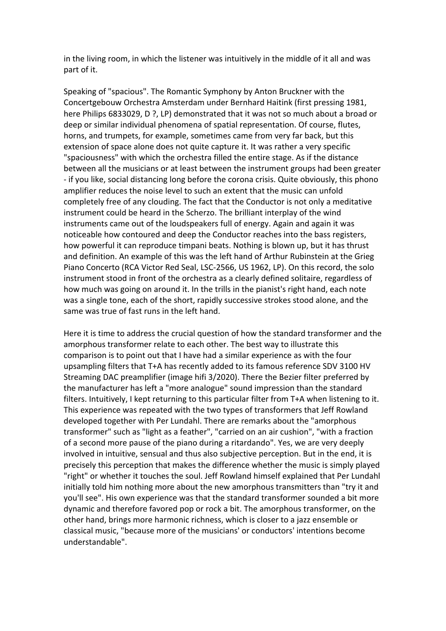in the living room, in which the listener was intuitively in the middle of it all and was part of it.

Speaking of "spacious". The Romantic Symphony by Anton Bruckner with the Concertgebouw Orchestra Amsterdam under Bernhard Haitink (first pressing 1981, here Philips 6833029, D ?, LP) demonstrated that it was not so much about a broad or deep or similar individual phenomena of spatial representation. Of course, flutes, horns, and trumpets, for example, sometimes came from very far back, but this extension of space alone does not quite capture it. It was rather a very specific "spaciousness" with which the orchestra filled the entire stage. As if the distance between all the musicians or at least between the instrument groups had been greater - if you like, social distancing long before the corona crisis. Quite obviously, this phono amplifier reduces the noise level to such an extent that the music can unfold completely free of any clouding. The fact that the Conductor is not only a meditative instrument could be heard in the Scherzo. The brilliant interplay of the wind instruments came out of the loudspeakers full of energy. Again and again it was noticeable how contoured and deep the Conductor reaches into the bass registers, how powerful it can reproduce timpani beats. Nothing is blown up, but it has thrust and definition. An example of this was the left hand of Arthur Rubinstein at the Grieg Piano Concerto (RCA Victor Red Seal, LSC-2566, US 1962, LP). On this record, the solo instrument stood in front of the orchestra as a clearly defined solitaire, regardless of how much was going on around it. In the trills in the pianist's right hand, each note was a single tone, each of the short, rapidly successive strokes stood alone, and the same was true of fast runs in the left hand.

Here it is time to address the crucial question of how the standard transformer and the amorphous transformer relate to each other. The best way to illustrate this comparison is to point out that I have had a similar experience as with the four upsampling filters that T+A has recently added to its famous reference SDV 3100 HV Streaming DAC preamplifier (image hifi 3/2020). There the Bezier filter preferred by the manufacturer has left a "more analogue" sound impression than the standard filters. Intuitively, I kept returning to this particular filter from T+A when listening to it. This experience was repeated with the two types of transformers that Jeff Rowland developed together with Per Lundahl. There are remarks about the "amorphous transformer" such as "light as a feather", "carried on an air cushion", "with a fraction of a second more pause of the piano during a ritardando". Yes, we are very deeply involved in intuitive, sensual and thus also subjective perception. But in the end, it is precisely this perception that makes the difference whether the music is simply played "right" or whether it touches the soul. Jeff Rowland himself explained that Per Lundahl initially told him nothing more about the new amorphous transmitters than "try it and you'll see". His own experience was that the standard transformer sounded a bit more dynamic and therefore favored pop or rock a bit. The amorphous transformer, on the other hand, brings more harmonic richness, which is closer to a jazz ensemble or classical music, "because more of the musicians' or conductors' intentions become understandable".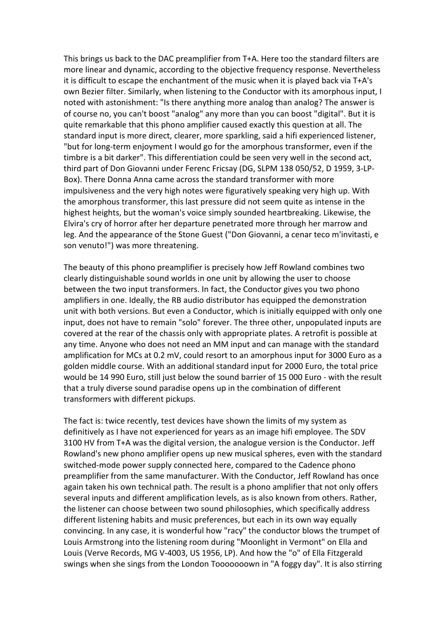This brings us back to the DAC preamplifier from T+A. Here too the standard filters are more linear and dynamic, according to the objective frequency response. Nevertheless it is difficult to escape the enchantment of the music when it is played back via  $T+A's$ own Bezier filter. Similarly, when listening to the Conductor with its amorphous input, I noted with astonishment: "Is there anything more analog than analog? The answer is of course no, you can't boost "analog" any more than you can boost "digital". But it is quite remarkable that this phono amplifier caused exactly this question at all. The standard input is more direct, clearer, more sparkling, said a hifi experienced listener, "but for long-term enjoyment I would go for the amorphous transformer, even if the timbre is a bit darker". This differentiation could be seen very well in the second act, third part of Don Giovanni under Ferenc Fricsay (DG, SLPM 138 050/52, D 1959, 3-LP-Box). There Donna Anna came across the standard transformer with more impulsiveness and the very high notes were figuratively speaking very high up. With the amorphous transformer, this last pressure did not seem quite as intense in the highest heights, but the woman's voice simply sounded heartbreaking. Likewise, the Elvira's cry of horror after her departure penetrated more through her marrow and leg. And the appearance of the Stone Guest ("Don Giovanni, a cenar teco m'invitasti, e son venuto!") was more threatening.

The beauty of this phono preamplifier is precisely how Jeff Rowland combines two clearly distinguishable sound worlds in one unit by allowing the user to choose between the two input transformers. In fact, the Conductor gives you two phono amplifiers in one. Ideally, the RB audio distributor has equipped the demonstration unit with both versions. But even a Conductor, which is initially equipped with only one input, does not have to remain "solo" forever. The three other, unpopulated inputs are covered at the rear of the chassis only with appropriate plates. A retrofit is possible at any time. Anyone who does not need an MM input and can manage with the standard amplification for MCs at  $0.2$  mV, could resort to an amorphous input for 3000 Euro as a golden middle course. With an additional standard input for 2000 Euro, the total price would be 14 990 Euro, still just below the sound barrier of 15 000 Euro - with the result that a truly diverse sound paradise opens up in the combination of different transformers with different pickups.

The fact is: twice recently, test devices have shown the limits of my system as definitively as I have not experienced for years as an image hifi employee. The SDV 3100 HV from T+A was the digital version, the analogue version is the Conductor. Jeff Rowland's new phono amplifier opens up new musical spheres, even with the standard switched-mode power supply connected here, compared to the Cadence phono preamplifier from the same manufacturer. With the Conductor, Jeff Rowland has once again taken his own technical path. The result is a phono amplifier that not only offers several inputs and different amplification levels, as is also known from others. Rather, the listener can choose between two sound philosophies, which specifically address different listening habits and music preferences, but each in its own way equally convincing. In any case, it is wonderful how "racy" the conductor blows the trumpet of Louis Armstrong into the listening room during "Moonlight in Vermont" on Ella and Louis (Verve Records, MG V-4003, US 1956, LP). And how the "o" of Ella Fitzgerald swings when she sings from the London Tooooooown in "A foggy day". It is also stirring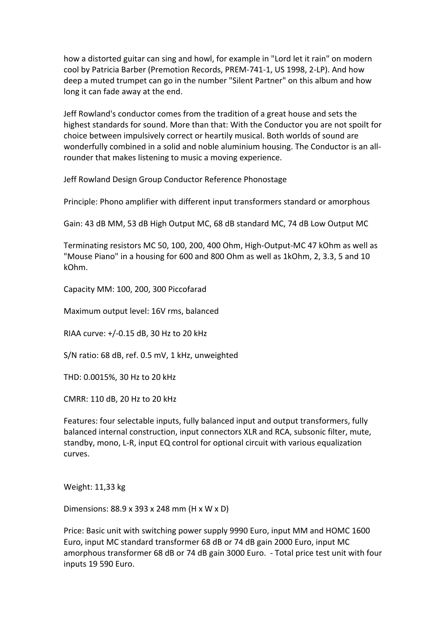how a distorted guitar can sing and howl, for example in "Lord let it rain" on modern cool by Patricia Barber (Premotion Records, PREM-741-1, US 1998, 2-LP). And how deep a muted trumpet can go in the number "Silent Partner" on this album and how long it can fade away at the end.

Jeff Rowland's conductor comes from the tradition of a great house and sets the highest standards for sound. More than that: With the Conductor you are not spoilt for choice between impulsively correct or heartily musical. Both worlds of sound are wonderfully combined in a solid and noble aluminium housing. The Conductor is an allrounder that makes listening to music a moving experience.

Jeff Rowland Design Group Conductor Reference Phonostage

Principle: Phono amplifier with different input transformers standard or amorphous

Gain: 43 dB MM, 53 dB High Output MC, 68 dB standard MC, 74 dB Low Output MC

Terminating resistors MC 50, 100, 200, 400 Ohm, High-Output-MC 47 kOhm as well as "Mouse Piano" in a housing for 600 and 800 Ohm as well as 1kOhm, 2, 3.3, 5 and 10 kOhm.

Capacity MM: 100, 200, 300 Piccofarad

Maximum output level: 16V rms, balanced

RIAA curve: +/-0.15 dB, 30 Hz to 20 kHz

S/N ratio: 68 dB, ref. 0.5 mV, 1 kHz, unweighted

THD: 0.0015%, 30 Hz to 20 kHz

CMRR: 110 dB, 20 Hz to 20 kHz

Features: four selectable inputs, fully balanced input and output transformers, fully balanced internal construction, input connectors XLR and RCA, subsonic filter, mute, standby, mono, L-R, input EQ control for optional circuit with various equalization curves. 

Weight: 11,33 kg

Dimensions: 88.9 x 393 x 248 mm (H x W x D)

Price: Basic unit with switching power supply 9990 Euro, input MM and HOMC 1600 Euro, input MC standard transformer 68 dB or 74 dB gain 2000 Euro, input MC amorphous transformer 68 dB or 74 dB gain 3000 Euro. - Total price test unit with four inputs 19 590 Euro.